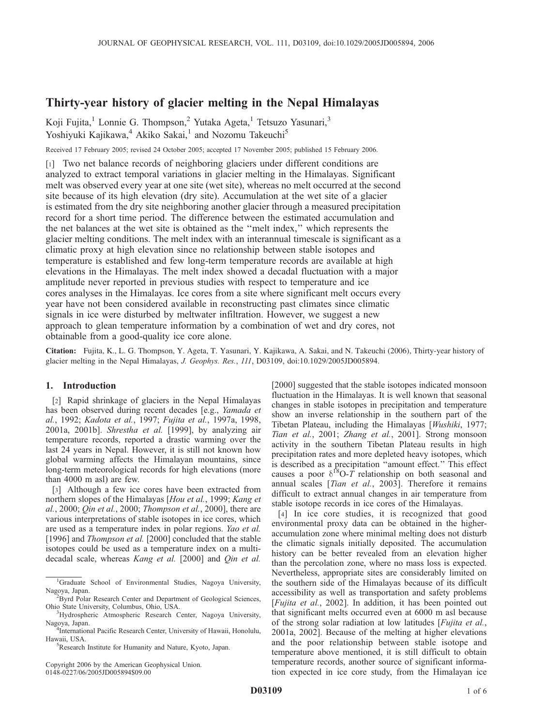# Thirty-year history of glacier melting in the Nepal Himalayas

Koji Fujita,<sup>1</sup> Lonnie G. Thompson,<sup>2</sup> Yutaka Ageta,<sup>1</sup> Tetsuzo Yasunari,<sup>3</sup> Yoshiyuki Kajikawa,<sup>4</sup> Akiko Sakai,<sup>1</sup> and Nozomu Takeuchi<sup>5</sup>

Received 17 February 2005; revised 24 October 2005; accepted 17 November 2005; published 15 February 2006.

[1] Two net balance records of neighboring glaciers under different conditions are analyzed to extract temporal variations in glacier melting in the Himalayas. Significant melt was observed every year at one site (wet site), whereas no melt occurred at the second site because of its high elevation (dry site). Accumulation at the wet site of a glacier is estimated from the dry site neighboring another glacier through a measured precipitation record for a short time period. The difference between the estimated accumulation and the net balances at the wet site is obtained as the ''melt index,'' which represents the glacier melting conditions. The melt index with an interannual timescale is significant as a climatic proxy at high elevation since no relationship between stable isotopes and temperature is established and few long-term temperature records are available at high elevations in the Himalayas. The melt index showed a decadal fluctuation with a major amplitude never reported in previous studies with respect to temperature and ice cores analyses in the Himalayas. Ice cores from a site where significant melt occurs every year have not been considered available in reconstructing past climates since climatic signals in ice were disturbed by meltwater infiltration. However, we suggest a new approach to glean temperature information by a combination of wet and dry cores, not obtainable from a good-quality ice core alone.

Citation: Fujita, K., L. G. Thompson, Y. Ageta, T. Yasunari, Y. Kajikawa, A. Sakai, and N. Takeuchi (2006), Thirty-year history of glacier melting in the Nepal Himalayas, J. Geophys. Res., 111, D03109, doi:10.1029/2005JD005894.

## 1. Introduction

[2] Rapid shrinkage of glaciers in the Nepal Himalayas has been observed during recent decades [e.g., Yamada et al., 1992; Kadota et al., 1997; Fujita et al., 1997a, 1998, 2001a, 2001b]. Shrestha et al. [1999], by analyzing air temperature records, reported a drastic warming over the last 24 years in Nepal. However, it is still not known how global warming affects the Himalayan mountains, since long-term meteorological records for high elevations (more than 4000 m asl) are few.

[3] Although a few ice cores have been extracted from northern slopes of the Himalayas [Hou et al., 1999; Kang et al., 2000; Qin et al., 2000; Thompson et al., 2000], there are various interpretations of stable isotopes in ice cores, which are used as a temperature index in polar regions. Yao et al. [1996] and *Thompson et al.* [2000] concluded that the stable isotopes could be used as a temperature index on a multidecadal scale, whereas *Kang et al.* [2000] and *Qin et al.* 

Copyright 2006 by the American Geophysical Union. 0148-0227/06/2005JD005894\$09.00

[2000] suggested that the stable isotopes indicated monsoon fluctuation in the Himalayas. It is well known that seasonal changes in stable isotopes in precipitation and temperature show an inverse relationship in the southern part of the Tibetan Plateau, including the Himalayas [Wushiki, 1977; Tian et al., 2001; Zhang et al., 2001]. Strong monsoon activity in the southern Tibetan Plateau results in high precipitation rates and more depleted heavy isotopes, which is described as a precipitation ''amount effect.'' This effect causes a poor  $\delta^{18}O - T$  relationship on both seasonal and annual scales [Tian et al., 2003]. Therefore it remains difficult to extract annual changes in air temperature from stable isotope records in ice cores of the Himalayas.

[4] In ice core studies, it is recognized that good environmental proxy data can be obtained in the higheraccumulation zone where minimal melting does not disturb the climatic signals initially deposited. The accumulation history can be better revealed from an elevation higher than the percolation zone, where no mass loss is expected. Nevertheless, appropriate sites are considerably limited on the southern side of the Himalayas because of its difficult accessibility as well as transportation and safety problems [Fujita et al., 2002]. In addition, it has been pointed out that significant melts occurred even at 6000 m asl because of the strong solar radiation at low latitudes [Fujita et al., 2001a, 2002]. Because of the melting at higher elevations and the poor relationship between stable isotope and temperature above mentioned, it is still difficult to obtain temperature records, another source of significant information expected in ice core study, from the Himalayan ice

<sup>&</sup>lt;sup>1</sup>Graduate School of Environmental Studies, Nagoya University, Nagoya, Japan. <sup>2</sup>

<sup>&</sup>lt;sup>2</sup>Byrd Polar Research Center and Department of Geological Sciences, Ohio State University, Columbus, Ohio, USA. <sup>3</sup>

<sup>&</sup>lt;sup>3</sup>Hydrospheric Atmospheric Research Center, Nagoya University, Nagoya, Japan. <sup>4</sup>

<sup>&</sup>lt;sup>4</sup>International Pacific Research Center, University of Hawaii, Honolulu, Hawaii, USA. <sup>5</sup>

<sup>&</sup>lt;sup>5</sup>Research Institute for Humanity and Nature, Kyoto, Japan.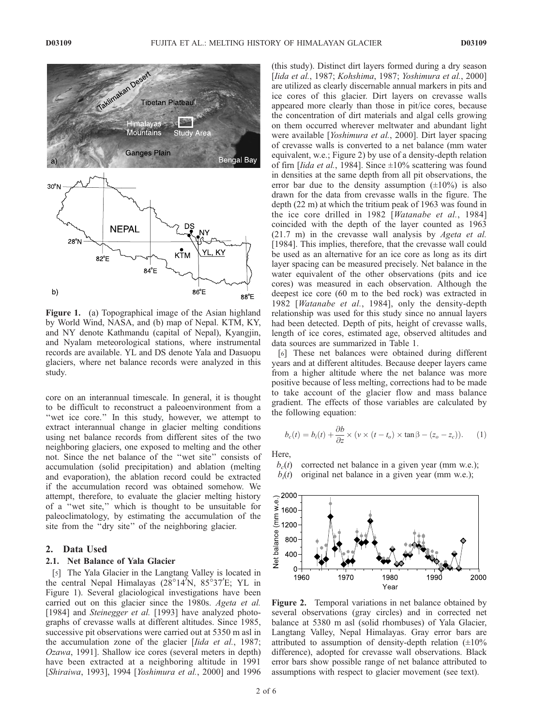

Figure 1. (a) Topographical image of the Asian highland by World Wind, NASA, and (b) map of Nepal. KTM, KY, and NY denote Kathmandu (capital of Nepal), Kyangjin, and Nyalam meteorological stations, where instrumental records are available. YL and DS denote Yala and Dasuopu glaciers, where net balance records were analyzed in this study.

core on an interannual timescale. In general, it is thought to be difficult to reconstruct a paleoenvironment from a "wet ice core." In this study, however, we attempt to extract interannual change in glacier melting conditions using net balance records from different sites of the two neighboring glaciers, one exposed to melting and the other not. Since the net balance of the ''wet site'' consists of accumulation (solid precipitation) and ablation (melting and evaporation), the ablation record could be extracted if the accumulation record was obtained somehow. We attempt, therefore, to evaluate the glacier melting history of a ''wet site,'' which is thought to be unsuitable for paleoclimatology, by estimating the accumulation of the site from the ''dry site'' of the neighboring glacier.

# 2. Data Used

## 2.1. Net Balance of Yala Glacier

[5] The Yala Glacier in the Langtang Valley is located in the central Nepal Himalayas (28°14<sup>7</sup>N, 85°37'E; YL in Figure 1). Several glaciological investigations have been carried out on this glacier since the 1980s. Ageta et al. [1984] and Steinegger et al. [1993] have analyzed photographs of crevasse walls at different altitudes. Since 1985, successive pit observations were carried out at 5350 m asl in the accumulation zone of the glacier [Iida et al., 1987; Ozawa, 1991]. Shallow ice cores (several meters in depth) have been extracted at a neighboring altitude in 1991 [Shiraiwa, 1993], 1994 [Yoshimura et al., 2000] and 1996

(this study). Distinct dirt layers formed during a dry season [Iida et al., 1987; Kohshima, 1987; Yoshimura et al., 2000] are utilized as clearly discernable annual markers in pits and ice cores of this glacier. Dirt layers on crevasse walls appeared more clearly than those in pit/ice cores, because the concentration of dirt materials and algal cells growing on them occurred wherever meltwater and abundant light were available [Yoshimura et al., 2000]. Dirt layer spacing of crevasse walls is converted to a net balance (mm water equivalent, w.e.; Figure 2) by use of a density-depth relation of firn [Iida et al., 1984]. Since  $\pm 10\%$  scattering was found in densities at the same depth from all pit observations, the error bar due to the density assumption  $(\pm 10\%)$  is also drawn for the data from crevasse walls in the figure. The depth (22 m) at which the tritium peak of 1963 was found in the ice core drilled in 1982 [Watanabe et al., 1984] coincided with the depth of the layer counted as 1963  $(21.7 \text{ m})$  in the crevasse wall analysis by *Ageta et al.* [1984]. This implies, therefore, that the crevasse wall could be used as an alternative for an ice core as long as its dirt layer spacing can be measured precisely. Net balance in the water equivalent of the other observations (pits and ice cores) was measured in each observation. Although the deepest ice core (60 m to the bed rock) was extracted in 1982 [Watanabe et al., 1984], only the density-depth relationship was used for this study since no annual layers had been detected. Depth of pits, height of crevasse walls, length of ice cores, estimated age, observed altitudes and data sources are summarized in Table 1.

[6] These net balances were obtained during different years and at different altitudes. Because deeper layers came from a higher altitude where the net balance was more positive because of less melting, corrections had to be made to take account of the glacier flow and mass balance gradient. The effects of those variables are calculated by the following equation:

$$
b_c(t) = b_i(t) + \frac{\partial b}{\partial z} \times (v \times (t - t_o) \times \tan \beta - (z_o - z_c)). \tag{1}
$$

Here,

 $b_c(t)$  corrected net balance in a given year (mm w.e.);

 $b_i(t)$  original net balance in a given year (mm w.e.);



Figure 2. Temporal variations in net balance obtained by several observations (gray circles) and in corrected net balance at 5380 m asl (solid rhombuses) of Yala Glacier, Langtang Valley, Nepal Himalayas. Gray error bars are attributed to assumption of density-depth relation  $(\pm 10\%$ difference), adopted for crevasse wall observations. Black error bars show possible range of net balance attributed to assumptions with respect to glacier movement (see text).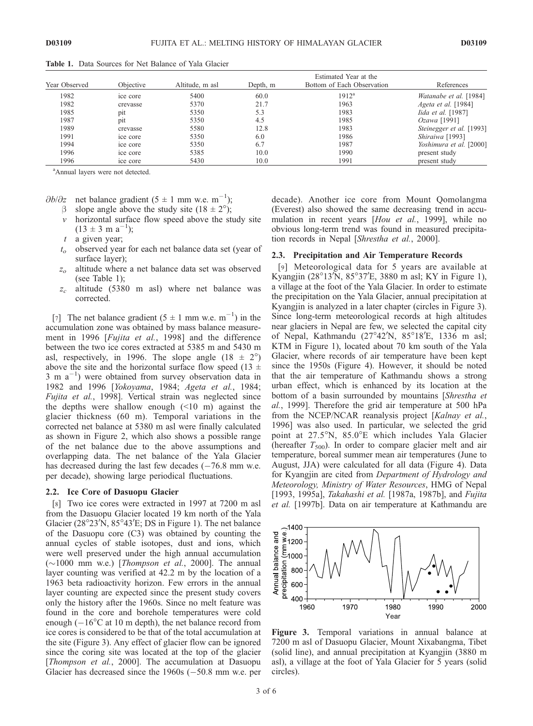| Year Observed | Obiective | Altitude, m asl | Depth, m | Estimated Year at the<br>Bottom of Each Observation | References                 |
|---------------|-----------|-----------------|----------|-----------------------------------------------------|----------------------------|
| 1982          | ice core  | 5400            | 60.0     | $1912^a$                                            | Watanabe et al. [1984]     |
| 1982          | crevasse  | 5370            | 21.7     | 1963                                                | <i>Ageta et al.</i> [1984] |
| 1985          | pit       | 5350            | 5.3      | 1983                                                | <i>Iida et al.</i> [1987]  |
| 1987          | pit       | 5350            | 4.5      | 1985                                                | Ozawa [1991]               |
| 1989          | crevasse  | 5580            | 12.8     | 1983                                                | Steinegger et al. [1993]   |
| 1991          | ice core  | 5350            | 6.0      | 1986                                                | Shiraiwa [1993]            |
| 1994          | ice core  | 5350            | 6.7      | 1987                                                | Yoshimura et al. [2000]    |
| 1996          | ice core  | 5385            | 10.0     | 1990                                                | present study              |
| 1996          | ice core  | 5430            | 10.0     | 1991                                                | present study              |

Table 1. Data Sources for Net Balance of Yala Glacier

<sup>a</sup>Annual layers were not detected.

 $\partial b/\partial z$  net balance gradient (5  $\pm$  1 mm w.e. m<sup>-1</sup>);

- $\beta$  slope angle above the study site (18 ± 2°);
- $\nu$  horizontal surface flow speed above the study site  $(13 \pm 3 \text{ m a}^{-1});$
- $t$  a given year;
- $t_o$  observed year for each net balance data set (year of surface layer);
- $z<sub>o</sub>$  altitude where a net balance data set was observed (see Table 1);
- $z_c$  altitude (5380 m asl) where net balance was corrected.

[7] The net balance gradient  $(5 \pm 1 \text{ mm w.e. m}^{-1})$  in the accumulation zone was obtained by mass balance measurement in 1996 [Fujita et al., 1998] and the difference between the two ice cores extracted at 5385 m and 5430 m asl, respectively, in 1996. The slope angle  $(18 \pm 2^{\circ})$ above the site and the horizontal surface flow speed (13  $\pm$  $3 \text{ m a}^{-1}$ ) were obtained from survey observation data in 1982 and 1996 [Yokoyama, 1984; Ageta et al., 1984; Fujita et al., 1998]. Vertical strain was neglected since the depths were shallow enough  $(\leq 10 \text{ m})$  against the glacier thickness (60 m). Temporal variations in the corrected net balance at 5380 m asl were finally calculated as shown in Figure 2, which also shows a possible range of the net balance due to the above assumptions and overlapping data. The net balance of the Yala Glacier has decreased during the last few decades  $(-76.8 \text{ mm} \text{ w.e.})$ per decade), showing large periodical fluctuations.

#### 2.2. Ice Core of Dasuopu Glacier

[8] Two ice cores were extracted in 1997 at 7200 m asl from the Dasuopu Glacier located 19 km north of the Yala Glacier (28°23′N, 85°43′E; DS in Figure 1). The net balance of the Dasuopu core (C3) was obtained by counting the annual cycles of stable isotopes, dust and ions, which were well preserved under the high annual accumulation  $(\sim 1000$  mm w.e.) [*Thompson et al.*, 2000]. The annual layer counting was verified at 42.2 m by the location of a 1963 beta radioactivity horizon. Few errors in the annual layer counting are expected since the present study covers only the history after the 1960s. Since no melt feature was found in the core and borehole temperatures were cold enough  $(-16^{\circ}$ C at 10 m depth), the net balance record from ice cores is considered to be that of the total accumulation at the site (Figure 3). Any effect of glacier flow can be ignored since the coring site was located at the top of the glacier [Thompson et al., 2000]. The accumulation at Dasuopu Glacier has decreased since the  $1960s$  ( $-50.8$  mm w.e. per

decade). Another ice core from Mount Qomolangma (Everest) also showed the same decreasing trend in accumulation in recent years [Hou et al., 1999], while no obvious long-term trend was found in measured precipitation records in Nepal [Shrestha et al., 2000].

#### 2.3. Precipitation and Air Temperature Records

[9] Meteorological data for 5 years are available at Kyangjin (28°13'N, 85°37'E, 3880 m asl; KY in Figure 1), a village at the foot of the Yala Glacier. In order to estimate the precipitation on the Yala Glacier, annual precipitation at Kyangjin is analyzed in a later chapter (circles in Figure 3). Since long-term meteorological records at high altitudes near glaciers in Nepal are few, we selected the capital city of Nepal, Kathmandu (27°42'N, 85°18'E, 1336 m asl; KTM in Figure 1), located about 70 km south of the Yala Glacier, where records of air temperature have been kept since the 1950s (Figure 4). However, it should be noted that the air temperature of Kathmandu shows a strong urban effect, which is enhanced by its location at the bottom of a basin surrounded by mountains [Shrestha et al., 1999]. Therefore the grid air temperature at 500 hPa from the NCEP/NCAR reanalysis project [Kalnay et al., 1996] was also used. In particular, we selected the grid point at 27.5°N, 85.0°E which includes Yala Glacier (hereafter  $T_{500}$ ). In order to compare glacier melt and air temperature, boreal summer mean air temperatures (June to August, JJA) were calculated for all data (Figure 4). Data for Kyangjin are cited from Department of Hydrology and Meteorology, Ministry of Water Resources, HMG of Nepal [1993, 1995a], Takahashi et al. [1987a, 1987b], and Fujita et al. [1997b]. Data on air temperature at Kathmandu are



Figure 3. Temporal variations in annual balance at 7200 m asl of Dasuopu Glacier, Mount Xixabangma, Tibet (solid line), and annual precipitation at Kyangjin (3880 m asl), a village at the foot of Yala Glacier for 5 years (solid circles).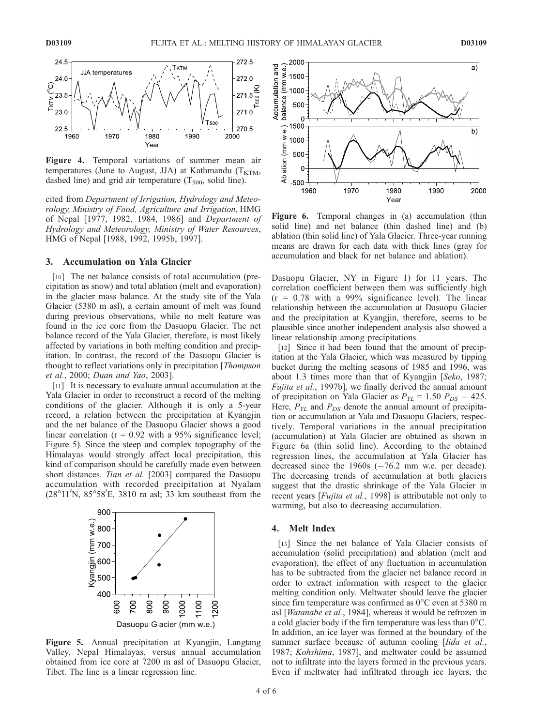

Figure 4. Temporal variations of summer mean air temperatures (June to August, JJA) at Kathmandu ( $T_{\text{KTM}}$ , dashed line) and grid air temperature  $(T_{500}$ , solid line).

cited from Department of Irrigation, Hydrology and Meteorology, Ministry of Food, Agriculture and Irrigation, HMG of Nepal [1977, 1982, 1984, 1986] and Department of Hydrology and Meteorology, Ministry of Water Resources, HMG of Nepal [1988, 1992, 1995b, 1997].

## 3. Accumulation on Yala Glacier

[10] The net balance consists of total accumulation (precipitation as snow) and total ablation (melt and evaporation) in the glacier mass balance. At the study site of the Yala Glacier (5380 m asl), a certain amount of melt was found during previous observations, while no melt feature was found in the ice core from the Dasuopu Glacier. The net balance record of the Yala Glacier, therefore, is most likely affected by variations in both melting condition and precipitation. In contrast, the record of the Dasuopu Glacier is thought to reflect variations only in precipitation [Thompson et al., 2000; Duan and Yao, 2003].

[11] It is necessary to evaluate annual accumulation at the Yala Glacier in order to reconstruct a record of the melting conditions of the glacier. Although it is only a 5-year record, a relation between the precipitation at Kyangjin and the net balance of the Dasuopu Glacier shows a good linear correlation ( $r = 0.92$  with a 95% significance level; Figure 5). Since the steep and complex topography of the Himalayas would strongly affect local precipitation, this kind of comparison should be carefully made even between short distances. Tian et al. [2003] compared the Dasuopu accumulation with recorded precipitation at Nyalam (28°11'N, 85°58'E, 3810 m asl; 33 km southeast from the



Figure 5. Annual precipitation at Kyangjin, Langtang Valley, Nepal Himalayas, versus annual accumulation obtained from ice core at 7200 m asl of Dasuopu Glacier, Tibet. The line is a linear regression line.



Figure 6. Temporal changes in (a) accumulation (thin solid line) and net balance (thin dashed line) and (b) ablation (thin solid line) of Yala Glacier. Three-year running means are drawn for each data with thick lines (gray for accumulation and black for net balance and ablation).

Dasuopu Glacier, NY in Figure 1) for 11 years. The correlation coefficient between them was sufficiently high  $(r = 0.78$  with a 99% significance level). The linear relationship between the accumulation at Dasuopu Glacier and the precipitation at Kyangjin, therefore, seems to be plausible since another independent analysis also showed a linear relationship among precipitations.

[12] Since it had been found that the amount of precipitation at the Yala Glacier, which was measured by tipping bucket during the melting seasons of 1985 and 1996, was about 1.3 times more than that of Kyangjin [Seko, 1987; Fujita et al., 1997b], we finally derived the annual amount of precipitation on Yala Glacier as  $P_{YL} = 1.50 P_{DS} - 425$ . Here,  $P_{YL}$  and  $P_{DS}$  denote the annual amount of precipitation or accumulation at Yala and Dasuopu Glaciers, respectively. Temporal variations in the annual precipitation (accumulation) at Yala Glacier are obtained as shown in Figure 6a (thin solid line). According to the obtained regression lines, the accumulation at Yala Glacier has decreased since the  $1960s$  ( $-76.2$  mm w.e. per decade). The decreasing trends of accumulation at both glaciers suggest that the drastic shrinkage of the Yala Glacier in recent years [*Fujita et al.*, 1998] is attributable not only to warming, but also to decreasing accumulation.

# 4. Melt Index

[13] Since the net balance of Yala Glacier consists of accumulation (solid precipitation) and ablation (melt and evaporation), the effect of any fluctuation in accumulation has to be subtracted from the glacier net balance record in order to extract information with respect to the glacier melting condition only. Meltwater should leave the glacier since firn temperature was confirmed as  $0^{\circ}$ C even at 5380 m asl [Watanabe et al., 1984], whereas it would be refrozen in a cold glacier body if the firn temperature was less than  $0^{\circ}$ C. In addition, an ice layer was formed at the boundary of the summer surface because of autumn cooling [Iida et al., 1987; Kohshima, 1987], and meltwater could be assumed not to infiltrate into the layers formed in the previous years. Even if meltwater had infiltrated through ice layers, the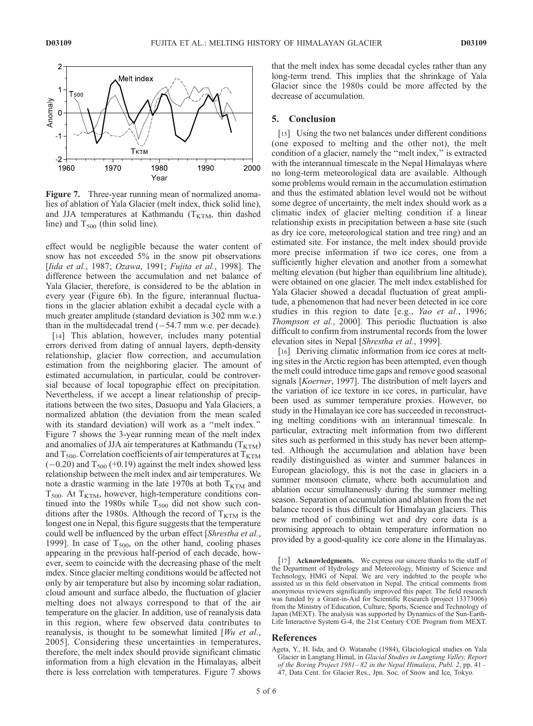

Figure 7. Three-year running mean of normalized anomalies of ablation of Yala Glacier (melt index, thick solid line), and JJA temperatures at Kathmandu ( $T_{\text{KTM}}$ , thin dashed line) and  $T_{500}$  (thin solid line).

effect would be negligible because the water content of snow has not exceeded 5% in the snow pit observations [*Iida et al., 1987; Ozawa, 1991; Fujita et al., 1998*]. The difference between the accumulation and net balance of Yala Glacier, therefore, is considered to be the ablation in every year (Figure 6b). In the figure, interannual fluctuations in the glacier ablation exhibit a decadal cycle with a much greater amplitude (standard deviation is 302 mm w.e.) than in the multidecadal trend  $(-54.7 \text{ mm} \text{ w.e.} \text{ per decade}).$ 

[14] This ablation, however, includes many potential errors derived from dating of annual layers, depth-density relationship, glacier flow correction, and accumulation estimation from the neighboring glacier. The amount of estimated accumulation, in particular, could be controversial because of local topographic effect on precipitation. Nevertheless, if we accept a linear relationship of precipitations between the two sites, Dasuopu and Yala Glaciers, a normalized ablation (the deviation from the mean scaled with its standard deviation) will work as a "melt index." Figure 7 shows the 3-year running mean of the melt index and anomalies of JJA air temperatures at Kathmandu  $(T_{KTM})$ and  $T_{500}$ . Correlation coefficients of air temperatures at  $T_{\text{KTM}}$  $(-0.20)$  and T<sub>500</sub> (+0.19) against the melt index showed less relationship between the melt index and air temperatures. We note a drastic warming in the late 1970s at both  $T_{\text{KTM}}$  and  $T_{500}$ . At  $T_{\text{KTM}}$ , however, high-temperature conditions continued into the 1980s while  $T_{500}$  did not show such conditions after the 1980s. Although the record of  $T_{\text{KTM}}$  is the longest one in Nepal, this figure suggests that the temperature could well be influenced by the urban effect [Shrestha et al., 1999]. In case of  $T_{500}$ , on the other hand, cooling phases appearing in the previous half-period of each decade, however, seem to coincide with the decreasing phase of the melt index. Since glacier melting conditions would be affected not only by air temperature but also by incoming solar radiation, cloud amount and surface albedo, the fluctuation of glacier melting does not always correspond to that of the air temperature on the glacier. In addition, use of reanalysis data in this region, where few observed data contributes to reanalysis, is thought to be somewhat limited [*Wu et al.*, 2005]. Considering these uncertainties in temperatures, therefore, the melt index should provide significant climatic information from a high elevation in the Himalayas, albeit there is less correlation with temperatures. Figure 7 shows

that the melt index has some decadal cycles rather than any long-term trend. This implies that the shrinkage of Yala Glacier since the 1980s could be more affected by the decrease of accumulation.

## 5. Conclusion

[15] Using the two net balances under different conditions (one exposed to melting and the other not), the melt condition of a glacier, namely the ''melt index,'' is extracted with the interannual timescale in the Nepal Himalayas where no long-term meteorological data are available. Although some problems would remain in the accumulation estimation and thus the estimated ablation level would not be without some degree of uncertainty, the melt index should work as a climatic index of glacier melting condition if a linear relationship exists in precipitation between a base site (such as dry ice core, meteorological station and tree ring) and an estimated site. For instance, the melt index should provide more precise information if two ice cores, one from a sufficiently higher elevation and another from a somewhat melting elevation (but higher than equilibrium line altitude), were obtained on one glacier. The melt index established for Yala Glacier showed a decadal fluctuation of great amplitude, a phenomenon that had never been detected in ice core studies in this region to date [e.g., *Yao et al.*, 1996; Thompson et al., 2000]. This periodic fluctuation is also difficult to confirm from instrumental records from the lower elevation sites in Nepal [Shrestha et al., 1999].

[16] Deriving climatic information from ice cores at melting sites in the Arctic region has been attempted, even though the melt could introduce time gaps and remove good seasonal signals [Koerner, 1997]. The distribution of melt layers and the variation of ice texture in ice cores, in particular, have been used as summer temperature proxies. However, no study in the Himalayan ice core has succeeded in reconstructing melting conditions with an interannual timescale. In particular, extracting melt information from two different sites such as performed in this study has never been attempted. Although the accumulation and ablation have been readily distinguished as winter and summer balances in European glaciology, this is not the case in glaciers in a summer monsoon climate, where both accumulation and ablation occur simultaneously during the summer melting season. Separation of accumulation and ablation from the net balance record is thus difficult for Himalayan glaciers. This new method of combining wet and dry core data is a promising approach to obtain temperature information no provided by a good-quality ice core alone in the Himalayas.

[17] **Acknowledgments.** We express our sincere thanks to the staff of the Department of Hydrology and Meteorology, Ministry of Science and Technology, HMG of Nepal. We are very indebted to the people who assisted us in this field observation in Nepal. The critical comments from anonymous reviewers significantly improved this paper. The field research was funded by a Grant-in-Aid for Scientific Research (project 13373006) from the Ministry of Education, Culture, Sports, Science and Technology of Japan (MEXT). The analysis was supported by Dynamics of the Sun-Earth-Life Interactive System G-4, the 21st Century COE Program from MEXT.

#### References

Ageta, Y., H. Iida, and O. Watanabe (1984), Glaciological studies on Yala Glacier in Langtang Himal, in Glacial Studies in Langtang Valley, Report of the Boring Project 1981 – 82 in the Nepal Himalaya, Publ. 2, pp. 41 – 47, Data Cent. for Glacier Res., Jpn. Soc. of Snow and Ice, Tokyo.